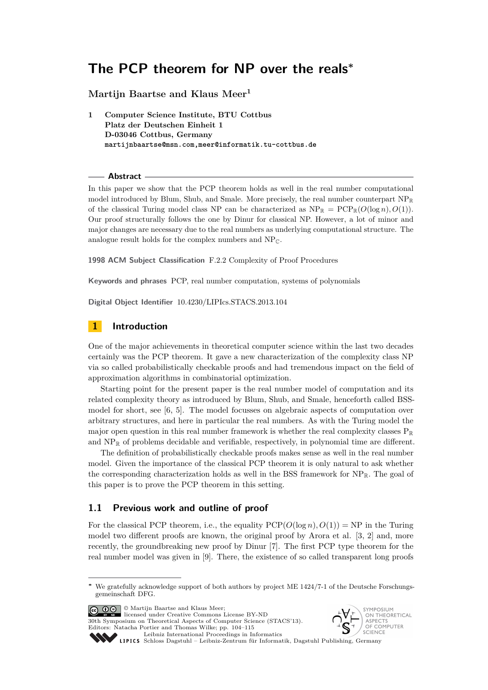# **Martijn Baartse and Klaus Meer<sup>1</sup>**

**1 Computer Science Institute, BTU Cottbus Platz der Deutschen Einheit 1 D-03046 Cottbus, Germany martijnbaartse@msn.com,meer@informatik.tu-cottbus.de**

#### **Abstract**

In this paper we show that the PCP theorem holds as well in the real number computational model introduced by Blum, Shub, and Smale. More precisely, the real number counterpart  $NP_{\mathbb{R}}$ of the classical Turing model class NP can be characterized as  $NP_{\mathbb{R}} = PCP_{\mathbb{R}}(O(\log n), O(1)).$ Our proof structurally follows the one by Dinur for classical NP. However, a lot of minor and major changes are necessary due to the real numbers as underlying computational structure. The analogue result holds for the complex numbers and  $NP<sub>C</sub>$ .

**1998 ACM Subject Classification** F.2.2 Complexity of Proof Procedures

**Keywords and phrases** PCP, real number computation, systems of polynomials

**Digital Object Identifier** [10.4230/LIPIcs.STACS.2013.104](http://dx.doi.org/10.4230/LIPIcs.STACS.2013.104)

## **1 Introduction**

One of the major achievements in theoretical computer science within the last two decades certainly was the PCP theorem. It gave a new characterization of the complexity class NP via so called probabilistically checkable proofs and had tremendous impact on the field of approximation algorithms in combinatorial optimization.

Starting point for the present paper is the real number model of computation and its related complexity theory as introduced by Blum, Shub, and Smale, henceforth called BSSmodel for short, see [\[6,](#page-11-0) [5\]](#page-11-1). The model focusses on algebraic aspects of computation over arbitrary structures, and here in particular the real numbers. As with the Turing model the major open question in this real number framework is whether the real complexity classes  $P_{\mathbb{R}}$ and  $NP_{\mathbb{R}}$  of problems decidable and verifiable, respectively, in polynomial time are different.

The definition of probabilistically checkable proofs makes sense as well in the real number model. Given the importance of the classical PCP theorem it is only natural to ask whether the corresponding characterization holds as well in the BSS framework for  $NP_{\mathbb{R}}$ . The goal of this paper is to prove the PCP theorem in this setting.

## **1.1 Previous work and outline of proof**

For the classical PCP theorem, i.e., the equality  $PCP(O(\log n), O(1)) = NP$  in the Turing model two different proofs are known, the original proof by Arora et al. [\[3,](#page-11-2) [2\]](#page-11-3) and, more recently, the groundbreaking new proof by Dinur [\[7\]](#page-11-4). The first PCP type theorem for the real number model was given in [\[9\]](#page-11-5). There, the existence of so called transparent long proofs

© Martijn Baartse and Klaus Meer; licensed under Creative Commons License BY-ND 30th Symposium on Theoretical Aspects of Computer Science (STACS'13). Editors: Natacha Portier and Thomas Wilke; pp. 104[–115](#page-11-6)



[Leibniz International Proceedings in Informatics](http://www.dagstuhl.de/lipics/)

Leibniz International Proceedings in Informatik, Dagstuhl Publishing, Germany<br>LIPICS [Schloss Dagstuhl – Leibniz-Zentrum für Informatik, Dagstuhl Publishing, Germany](http://www.dagstuhl.de)

**<sup>∗</sup>** We gratefully acknowledge support of both authors by project ME 1424/7-1 of the Deutsche Forschungsgemeinschaft DFG.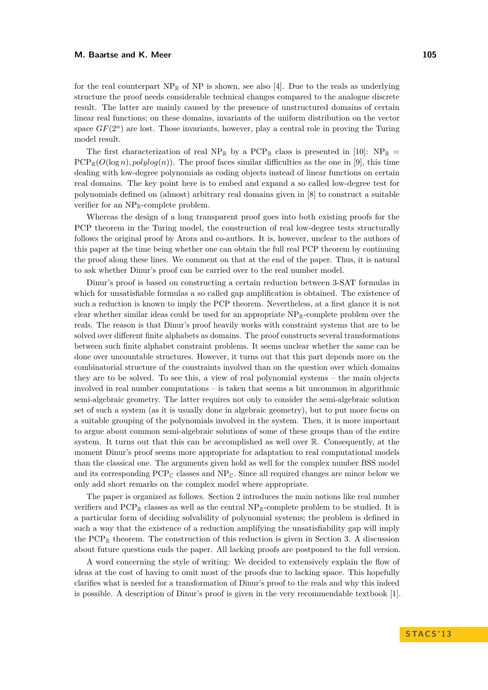for the real counterpart  $NP_{\mathbb{R}}$  of NP is shown, see also [\[4\]](#page-11-7). Due to the reals as underlying structure the proof needs considerable technical changes compared to the analogue discrete result. The latter are mainly caused by the presence of unstructured domains of certain linear real functions; on these domains, invariants of the uniform distribution on the vector space  $GF(2^n)$  are lost. Those invariants, however, play a central role in proving the Turing model result.

The first characterization of real NP<sub>R</sub> by a PCP<sub>R</sub> class is presented in [\[10\]](#page-11-8): NP<sub>R</sub> =  $PCP_{\mathbb{R}}(O(\log n), polylog(n))$ . The proof faces similar difficulties as the one in [\[9\]](#page-11-5), this time dealing with low-degree polynomials as coding objects instead of linear functions on certain real domains. The key point here is to embed and expand a so called low-degree test for polynomials defined on (almost) arbitrary real domains given in [\[8\]](#page-11-9) to construct a suitable verifier for an  $NP_{\mathbb{R}}$ -complete problem.

Whereas the design of a long transparent proof goes into both existing proofs for the PCP theorem in the Turing model, the construction of real low-degree tests structurally follows the original proof by Arora and co-authors. It is, however, unclear to the authors of this paper at the time being whether one can obtain the full real PCP theorem by continuing the proof along these lines. We comment on that at the end of the paper. Thus, it is natural to ask whether Dinur's proof can be carried over to the real number model.

Dinur's proof is based on constructing a certain reduction between 3-SAT formulas in which for unsatisfiable formulas a so called gap amplification is obtained. The existence of such a reduction is known to imply the PCP theorem. Nevertheless, at a first glance it is not clear whether similar ideas could be used for an appropriate  $NP_{\mathbb{R}}$ -complete problem over the reals. The reason is that Dinur's proof heavily works with constraint systems that are to be solved over different finite alphabets as domains. The proof constructs several transformations between such finite alphabet constraint problems. It seems unclear whether the same can be done over uncountable structures. However, it turns out that this part depends more on the combinatorial structure of the constraints involved than on the question over which domains they are to be solved. To see this, a view of real polynomial systems – the main objects involved in real number computations – is taken that seems a bit uncommon in algorithmic semi-algebraic geometry. The latter requires not only to consider the semi-algebraic solution set of such a system (as it is usually done in algebraic geometry), but to put more focus on a suitable grouping of the polynomials involved in the system. Then, it is more important to argue about common semi-algebraic solutions of some of these groups than of the entire system. It turns out that this can be accomplished as well over R. Consequently, at the moment Dinur's proof seems more appropriate for adaptation to real computational models than the classical one. The arguments given hold as well for the complex number BSS model and its corresponding  $PCP_{\mathbb{C}}$  classes and  $NP_{\mathbb{C}}$ . Since all required changes are minor below we only add short remarks on the complex model where appropriate.

The paper is organized as follows. Section 2 introduces the main notions like real number verifiers and  $PCP_{\mathbb{R}}$  classes as well as the central  $NP_{\mathbb{R}}$ -complete problem to be studied. It is a particular form of deciding solvability of polynomial systems; the problem is defined in such a way that the existence of a reduction amplifying the unsatisfiability gap will imply the  $PCP_{\mathbb{R}}$  theorem. The construction of this reduction is given in Section 3. A discussion about future questions ends the paper. All lacking proofs are postponed to the full version.

A word concerning the style of writing: We decided to extensively explain the flow of ideas at the cost of having to omit most of the proofs due to lacking space. This hopefully clarifies what is needed for a transformation of Dinur's proof to the reals and why this indeed is possible. A description of Dinur's proof is given in the very recommendable textbook [\[1\]](#page-11-10).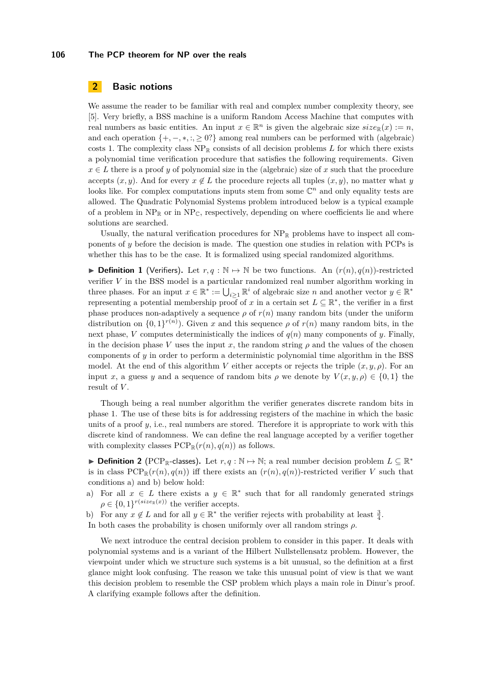# **2 Basic notions**

We assume the reader to be familiar with real and complex number complexity theory, see [\[5\]](#page-11-1). Very briefly, a BSS machine is a uniform Random Access Machine that computes with real numbers as basic entities. An input  $x \in \mathbb{R}^n$  is given the algebraic size  $size_{\mathbb{R}}(x) := n$ , and each operation  $\{+, -, *, : , \geq 0\}$  among real numbers can be performed with (algebraic) costs 1. The complexity class  $NP_{\mathbb{R}}$  consists of all decision problems *L* for which there exists a polynomial time verification procedure that satisfies the following requirements. Given  $x \in L$  there is a proof *y* of polynomial size in the (algebraic) size of *x* such that the procedure accepts  $(x, y)$ . And for every  $x \notin L$  the procedure rejects all tuples  $(x, y)$ , no matter what *y* looks like. For complex computations inputs stem from some  $\mathbb{C}^n$  and only equality tests are allowed. The Quadratic Polynomial Systems problem introduced below is a typical example of a problem in  $NP_{\mathbb{R}}$  or in  $NP_{\mathbb{C}}$ , respectively, depending on where coefficients lie and where solutions are searched.

Usually, the natural verification procedures for  $NP_{\mathbb{R}}$  problems have to inspect all components of *y* before the decision is made. The question one studies in relation with PCPs is whether this has to be the case. It is formalized using special randomized algorithms.

▶ **Definition 1** (Verifiers). Let  $r, q : \mathbb{N} \mapsto \mathbb{N}$  be two functions. An  $(r(n), q(n))$ -restricted verifier *V* in the BSS model is a particular randomized real number algorithm working in three phases. For an input  $x \in \mathbb{R}^* := \bigcup_{i \geq 1} \mathbb{R}^i$  of algebraic size *n* and another vector  $y \in \mathbb{R}^*$ representing a potential membership proof of x in a certain set  $L \subseteq \mathbb{R}^*$ , the verifier in a first phase produces non-adaptively a sequence  $\rho$  of  $r(n)$  many random bits (under the uniform distribution on  $\{0,1\}^{r(n)}$ ). Given *x* and this sequence  $\rho$  of  $r(n)$  many random bits, in the next phase, *V* computes deterministically the indices of  $q(n)$  many components of *y*. Finally, in the decision phase *V* uses the input *x*, the random string  $\rho$  and the values of the chosen components of  $\gamma$  in order to perform a deterministic polynomial time algorithm in the BSS model. At the end of this algorithm *V* either accepts or rejects the triple  $(x, y, \rho)$ . For an input *x*, a guess *y* and a sequence of random bits  $\rho$  we denote by  $V(x, y, \rho) \in \{0, 1\}$  the result of *V* .

Though being a real number algorithm the verifier generates discrete random bits in phase 1. The use of these bits is for addressing registers of the machine in which the basic units of a proof  $y$ , i.e., real numbers are stored. Therefore it is appropriate to work with this discrete kind of randomness. We can define the real language accepted by a verifier together with complexity classes  $PCP_{\mathbb{R}}(r(n), q(n))$  as follows.

**Definition 2** (PCP<sub>R</sub>-classes). Let  $r, q : \mathbb{N} \mapsto \mathbb{N}$ ; a real number decision problem  $L \subseteq \mathbb{R}^*$ is in class  $PCP_{\mathbb{R}}(r(n), q(n))$  iff there exists an  $(r(n), q(n))$ -restricted verifier *V* such that conditions a) and b) below hold:

- a) For all  $x \in L$  there exists a  $y \in \mathbb{R}^*$  such that for all randomly generated strings  $\rho \in \{0,1\}^{r(size_R(x))}$  the verifier accepts.
- b) For any  $x \notin L$  and for all  $y \in \mathbb{R}^*$  the verifier rejects with probability at least  $\frac{3}{4}$ .
- In both cases the probability is chosen uniformly over all random strings *ρ*.

We next introduce the central decision problem to consider in this paper. It deals with polynomial systems and is a variant of the Hilbert Nullstellensatz problem. However, the viewpoint under which we structure such systems is a bit unusual, so the definition at a first glance might look confusing. The reason we take this unusual point of view is that we want this decision problem to resemble the CSP problem which plays a main role in Dinur's proof. A clarifying example follows after the definition.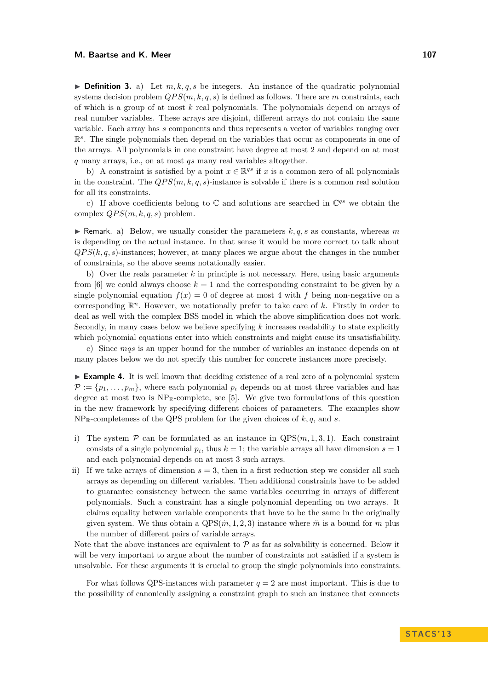$\triangleright$  **Definition 3.** a) Let  $m, k, q, s$  be integers. An instance of the quadratic polynomial systems decision problem  $QPS(m, k, q, s)$  is defined as follows. There are m constraints, each of which is a group of at most *k* real polynomials. The polynomials depend on arrays of real number variables. These arrays are disjoint, different arrays do not contain the same variable. Each array has *s* components and thus represents a vector of variables ranging over  $\mathbb{R}^s$ . The single polynomials then depend on the variables that occur as components in one of the arrays. All polynomials in one constraint have degree at most 2 and depend on at most *q* many arrays, i.e., on at most *qs* many real variables altogether.

b) A constraint is satisfied by a point  $x \in \mathbb{R}^{qs}$  if *x* is a common zero of all polynomials in the constraint. The  $QPS(m, k, q, s)$ -instance is solvable if there is a common real solution for all its constraints.

c) If above coefficients belong to  $\mathbb C$  and solutions are searched in  $\mathbb C^{qs}$  we obtain the complex  $QPS(m, k, q, s)$  problem.

**I** Remark. a) Below, we usually consider the parameters  $k, q, s$  as constants, whereas  $m$ is depending on the actual instance. In that sense it would be more correct to talk about  $QPS(k, q, s)$ -instances; however, at many places we argue about the changes in the number of constraints, so the above seems notationally easier.

b) Over the reals parameter *k* in principle is not necessary. Here, using basic arguments from [\[6\]](#page-11-0) we could always choose  $k = 1$  and the corresponding constraint to be given by a single polynomial equation  $f(x) = 0$  of degree at most 4 with f being non-negative on a corresponding  $\mathbb{R}^n$ . However, we notationally prefer to take care of  $k$ . Firstly in order to deal as well with the complex BSS model in which the above simplification does not work. Secondly, in many cases below we believe specifying *k* increases readability to state explicitly which polynomial equations enter into which constraints and might cause its unsatisfiability.

c) Since *mqs* is an upper bound for the number of variables an instance depends on at many places below we do not specify this number for concrete instances more precisely.

<span id="page-3-0"></span>► **Example 4.** It is well known that deciding existence of a real zero of a polynomial system  $\mathcal{P} := \{p_1, \ldots, p_m\}$ , where each polynomial  $p_i$  depends on at most three variables and has degree at most two is  $NP_{\mathbb{R}}$ -complete, see [\[5\]](#page-11-1). We give two formulations of this question in the new framework by specifying different choices of parameters. The examples show  $NP_{\mathbb{R}}$ -completeness of the QPS problem for the given choices of  $k, q$ , and  $s$ .

- i) The system  $P$  can be formulated as an instance in  $QPS(m, 1, 3, 1)$ . Each constraint consists of a single polynomial  $p_i$ , thus  $k = 1$ ; the variable arrays all have dimension  $s = 1$ and each polynomial depends on at most 3 such arrays.
- ii) If we take arrays of dimension  $s = 3$ , then in a first reduction step we consider all such arrays as depending on different variables. Then additional constraints have to be added to guarantee consistency between the same variables occurring in arrays of different polynomials. Such a constraint has a single polynomial depending on two arrays. It claims equality between variable components that have to be the same in the originally given system. We thus obtain a  $QPS(\tilde{m}, 1, 2, 3)$  instance where  $\tilde{m}$  is a bound for *m* plus the number of different pairs of variable arrays.

Note that the above instances are equivalent to  $P$  as far as solvability is concerned. Below it will be very important to argue about the number of constraints not satisfied if a system is unsolvable. For these arguments it is crucial to group the single polynomials into constraints.

For what follows QPS-instances with parameter  $q = 2$  are most important. This is due to the possibility of canonically assigning a constraint graph to such an instance that connects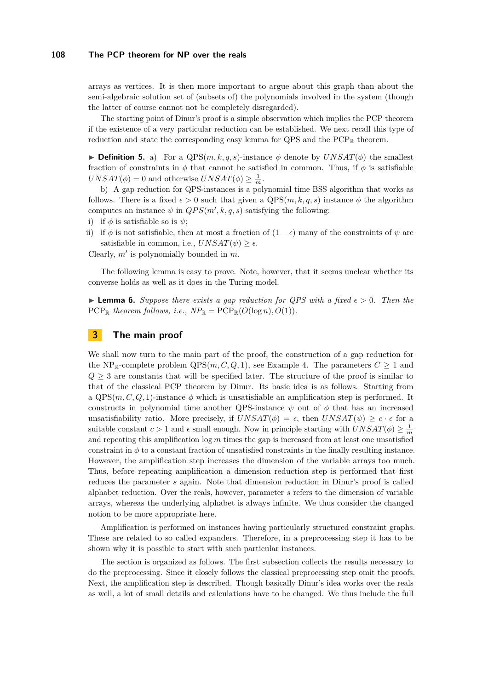arrays as vertices. It is then more important to argue about this graph than about the semi-algebraic solution set of (subsets of) the polynomials involved in the system (though the latter of course cannot not be completely disregarded).

The starting point of Dinur's proof is a simple observation which implies the PCP theorem if the existence of a very particular reduction can be established. We next recall this type of reduction and state the corresponding easy lemma for QPS and the  $PCP<sub>R</sub>$  theorem.

**Definition 5.** a) For a  $QPS(m, k, q, s)$ -instance  $\phi$  denote by  $UNSAT(\phi)$  the smallest fraction of constraints in  $\phi$  that cannot be satisfied in common. Thus, if  $\phi$  is satisfiable  $UNSAT(\phi) = 0$  and otherwise  $UNSAT(\phi) \ge \frac{1}{m}$ .

b) A gap reduction for QPS-instances is a polynomial time BSS algorithm that works as follows. There is a fixed  $\epsilon > 0$  such that given a  $QPS(m, k, q, s)$  instance  $\phi$  the algorithm computes an instance  $\psi$  in  $QPS(m', k, q, s)$  satisfying the following:

- i) if  $\phi$  is satisfiable so is  $\psi$ ;
- ii) if  $\phi$  is not satisfiable, then at most a fraction of  $(1 \epsilon)$  many of the constraints of  $\psi$  are satisfiable in common, i.e.,  $UNSAT(\psi) > \epsilon$ .

Clearly,  $m'$  is polynomially bounded in  $m$ .

The following lemma is easy to prove. Note, however, that it seems unclear whether its converse holds as well as it does in the Turing model.

<span id="page-4-0"></span>**Lemma 6.** Suppose there exists a gap reduction for QPS with a fixed  $\epsilon > 0$ . Then the PCP<sub>R</sub> theorem follows, i.e.,  $NP_{\mathbb{R}} = PCP_{\mathbb{R}}(O(\log n), O(1)).$ 

# **3 The main proof**

We shall now turn to the main part of the proof, the construction of a gap reduction for the NP<sub>R</sub>-complete problem  $QPS(m, C, Q, 1)$ , see Example [4.](#page-3-0) The parameters  $C \geq 1$  and  $Q \geq 3$  are constants that will be specified later. The structure of the proof is similar to that of the classical PCP theorem by Dinur. Its basic idea is as follows. Starting from a  $QPS(m, C, Q, 1)$ -instance  $\phi$  which is unsatisfiable an amplification step is performed. It constructs in polynomial time another QPS-instance  $\psi$  out of  $\phi$  that has an increased unsatisfiability ratio. More precisely, if  $UNSAT(\phi) = \epsilon$ , then  $UNSAT(\psi) \geq c \cdot \epsilon$  for a suitable constant  $c > 1$  and  $\epsilon$  small enough. Now in principle starting with  $UNSAT(\phi) \geq \frac{1}{m}$ and repeating this amplification log *m* times the gap is increased from at least one unsatisfied constraint in  $\phi$  to a constant fraction of unsatisfied constraints in the finally resulting instance. However, the amplification step increases the dimension of the variable arrays too much. Thus, before repeating amplification a dimension reduction step is performed that first reduces the parameter *s* again. Note that dimension reduction in Dinur's proof is called alphabet reduction. Over the reals, however, parameter *s* refers to the dimension of variable arrays, whereas the underlying alphabet is always infinite. We thus consider the changed notion to be more appropriate here.

Amplification is performed on instances having particularly structured constraint graphs. These are related to so called expanders. Therefore, in a preprocessing step it has to be shown why it is possible to start with such particular instances.

The section is organized as follows. The first subsection collects the results necessary to do the preprocessing. Since it closely follows the classical preprocessing step omit the proofs. Next, the amplification step is described. Though basically Dinur's idea works over the reals as well, a lot of small details and calculations have to be changed. We thus include the full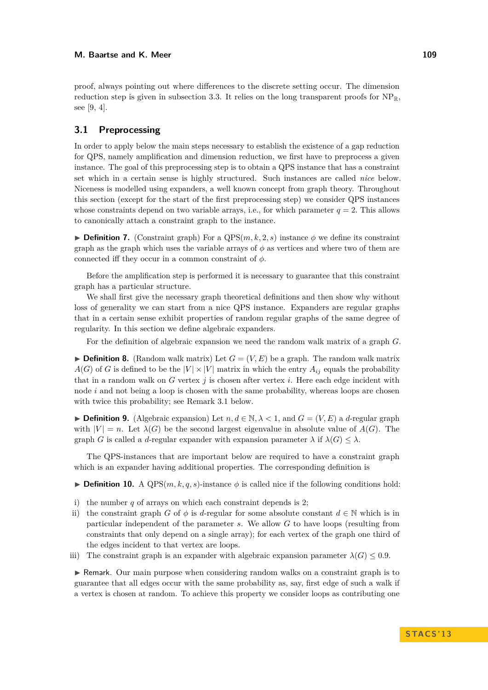proof, always pointing out where differences to the discrete setting occur. The dimension reduction step is given in subsection [3.3.](#page-9-0) It relies on the long transparent proofs for  $NP_{\mathbb{R}}$ . see [\[9,](#page-11-5) [4\]](#page-11-7).

## **3.1 Preprocessing**

In order to apply below the main steps necessary to establish the existence of a gap reduction for QPS, namely amplification and dimension reduction, we first have to preprocess a given instance. The goal of this preprocessing step is to obtain a QPS instance that has a constraint set which in a certain sense is highly structured. Such instances are called *nice* below. Niceness is modelled using expanders, a well known concept from graph theory. Throughout this section (except for the start of the first preprocessing step) we consider QPS instances whose constraints depend on two variable arrays, i.e., for which parameter  $q = 2$ . This allows to canonically attach a constraint graph to the instance.

**Definition 7.** (Constraint graph) For a  $QPS(m, k, 2, s)$  instance  $\phi$  we define its constraint graph as the graph which uses the variable arrays of  $\phi$  as vertices and where two of them are connected iff they occur in a common constraint of  $\phi$ .

Before the amplification step is performed it is necessary to guarantee that this constraint graph has a particular structure.

We shall first give the necessary graph theoretical definitions and then show why without loss of generality we can start from a nice QPS instance. Expanders are regular graphs that in a certain sense exhibit properties of random regular graphs of the same degree of regularity. In this section we define algebraic expanders.

For the definition of algebraic expansion we need the random walk matrix of a graph *G*.

**Definition 8.** (Random walk matrix) Let  $G = (V, E)$  be a graph. The random walk matrix  $A(G)$  of *G* is defined to be the  $|V| \times |V|$  matrix in which the entry  $A_{ij}$  equals the probability that in a random walk on  $G$  vertex  $j$  is chosen after vertex  $i$ . Here each edge incident with node *i* and not being a loop is chosen with the same probability, whereas loops are chosen with twice this probability; see Remark [3.1](#page-5-0) below.

**► Definition 9.** (Algebraic expansion) Let  $n, d \in \mathbb{N}, \lambda < 1$ , and  $G = (V, E)$  a *d*-regular graph with  $|V| = n$ . Let  $\lambda(G)$  be the second largest eigenvalue in absolute value of  $A(G)$ . The graph *G* is called a *d*-regular expander with expansion parameter  $\lambda$  if  $\lambda(G) \leq \lambda$ .

The QPS-instances that are important below are required to have a constraint graph which is an expander having additional properties. The corresponding definition is

<span id="page-5-0"></span>**Definition 10.** A  $QPS(m, k, q, s)$ -instance  $\phi$  is called nice if the following conditions hold:

- i) the number *q* of arrays on which each constraint depends is 2;
- ii) the constraint graph *G* of  $\phi$  is *d*-regular for some absolute constant  $d \in \mathbb{N}$  which is in particular independent of the parameter *s*. We allow *G* to have loops (resulting from constraints that only depend on a single array); for each vertex of the graph one third of the edges incident to that vertex are loops.
- iii) The constraint graph is an expander with algebraic expansion parameter  $\lambda(G) \leq 0.9$ .

 $\blacktriangleright$  Remark. Our main purpose when considering random walks on a constraint graph is to guarantee that all edges occur with the same probability as, say, first edge of such a walk if a vertex is chosen at random. To achieve this property we consider loops as contributing one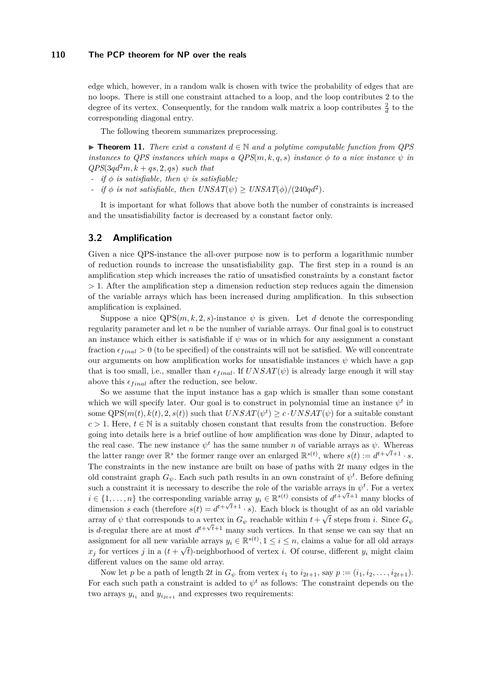edge which, however, in a random walk is chosen with twice the probability of edges that are no loops. There is still one constraint attached to a loop, and the loop contributes 2 to the degree of its vertex. Consequently, for the random walk matrix a loop contributes  $\frac{2}{d}$  to the corresponding diagonal entry.

The following theorem summarizes preprocessing.

<span id="page-6-0"></span>**► Theorem 11.** *There exist a constant*  $d \in \mathbb{N}$  *and a polytime computable function from QPS instances to QPS instances which maps a*  $QPS(m, k, q, s)$  *instance*  $\phi$  *to a nice instance*  $\psi$  *in*  $QPS(3qd^2m, k+qs, 2, qs)$  *such that* 

- *- if φ is satisfiable, then ψ is satisfiable;*
- *- if*  $\phi$  *is not satisfiable, then UNSAT*( $\psi$ )  $\geq$  *UNSAT*( $\phi$ )/(240*qd*<sup>2</sup>).

It is important for what follows that above both the number of constraints is increased and the unsatisfiability factor is decreased by a constant factor only.

## **3.2 Amplification**

Given a nice QPS-instance the all-over purpose now is to perform a logarithmic number of reduction rounds to increase the unsatisfiability gap. The first step in a round is an amplification step which increases the ratio of unsatisfied constraints by a constant factor *>* 1*.* After the amplification step a dimension reduction step reduces again the dimension of the variable arrays which has been increased during amplification. In this subsection amplification is explained.

Suppose a nice  $QPS(m, k, 2, s)$ -instance  $\psi$  is given. Let *d* denote the corresponding regularity parameter and let *n* be the number of variable arrays. Our final goal is to construct an instance which either is satisfiable if  $\psi$  was or in which for any assignment a constant fraction  $\epsilon_{final} > 0$  (to be specified) of the constraints will not be satisfied. We will concentrate our arguments on how amplification works for unsatisfiable instances  $\psi$  which have a gap that is too small, i.e., smaller than  $\epsilon_{final}$ *.* If  $UNSAT(\psi)$  is already large enough it will stay above this  $\epsilon_{final}$  after the reduction, see below.

So we assume that the input instance has a gap which is smaller than some constant which we will specify later. Our goal is to construct in polynomial time an instance  $\psi^t$  in some  $QPS(m(t), k(t), 2, s(t))$  such that  $UNSAT(\psi^t) \geq c \cdot UNSAT(\psi)$  for a suitable constant  $c > 1$ . Here,  $t \in \mathbb{N}$  is a suitably chosen constant that results from the construction. Before going into details here is a brief outline of how amplification was done by Dinur, adapted to the real case. The new instance  $\psi^t$  has the same number *n* of variable arrays as  $\psi$ . Whereas the latter range over  $\mathbb{R}^s$  the former range over an enlarged  $\mathbb{R}^{s(t)}$ , where  $s(t) := d^{t+\sqrt{t}+1} \cdot s$ . The constraints in the new instance are built on base of paths with 2*t* many edges in the old constraint graph  $G_{\psi}$ . Each such path results in an own constraint of  $\psi^t$ . Before defining such a constraint it is necessary to describe the role of the variable arrays in  $\psi^t$ . For a vertex  $i \in \{1, \ldots, n\}$  the corresponding variable array  $y_i \in \mathbb{R}^{s(t)}$  consists of  $d^{t+\sqrt{t}+1}$  many blocks of dimension *s* each (therefore  $s(t) = d^{t+\sqrt{t+1}} \cdot s$ ). Each block is thought of as an old variable array of  $\psi$  that corresponds to a vertex in  $G_{\psi}$  reachable within  $t + \sqrt{t}$  steps from *i*. Since  $G_{\psi}$ is *d*-regular there are at most  $d^{t+\sqrt{t+1}}$  many such vertices. In that sense we can say that an assignment for all new variable arrays  $y_i \in \mathbb{R}^{s(t)}$ ,  $1 \le i \le n$ , claims a value for all old arrays  $x_j$  for vertices *j* in a  $(t + \sqrt{t})$ -neighborhood of vertex *i*. Of course, different  $y_i$  might claim different values on the same old array.

Now let *p* be a path of length 2*t* in  $G_{\psi}$  from vertex  $i_1$  to  $i_{2t+1}$ , say  $p := (i_1, i_2, \ldots, i_{2t+1})$ . For each such path a constraint is added to  $\psi^t$  as follows: The constraint depends on the two arrays  $y_{i_1}$  and  $y_{i_{2t+1}}$  and expresses two requirements: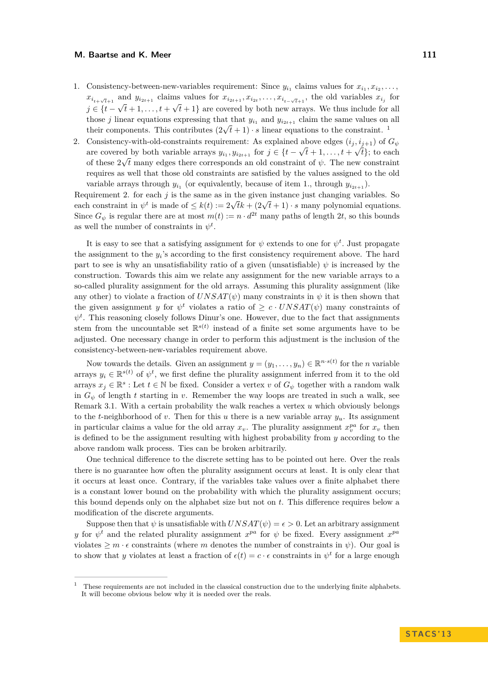- 1. Consistency-between-new-variables requirement: Since  $y_{i_1}$  claims values for  $x_{i_1}, x_{i_2}, \ldots$ ,  $x_{i_{t+\sqrt{t}+1}}$  and  $y_{i_{2t+1}}$  claims values for  $x_{i_{2t+1}}, x_{i_{2t}}, \ldots, x_{i_{t-\sqrt{t}+1}}$ , the old variables  $x_{i_j}$  for  $j \in \{t - \sqrt{t} + 1, \ldots, t + \sqrt{t} + 1\}$  are covered by both new arrays. We thus include for all those *j* linear equations expressing that that  $y_{i_1}$  and  $y_{i_{2t+1}}$  claim the same values on all those *f* linear equations expressing that that  $y_{i_1}$  $y_{i_1}$  $y_{i_1}$  and  $y_{i_{2t+1}}$  claim the same values on their components. This contributes  $(2\sqrt{t}+1)\cdot s$  linear equations to the constraint.<sup>1</sup>
- 2. Consistency-with-old-constraints requirement: As explained above edges  $(i_j, i_{j+1})$  of  $G_{\psi}$ are covered by both variable arrays  $y_{i_1}, y_{i_{2t+1}}$  for  $j \in \{t - \sqrt{t} + 1, \ldots, t + \sqrt{t}\}$ ; to each of these  $2\sqrt{t}$  many edges there corresponds an old constraint of  $\psi$ . The new constraint requires as well that those old constraints are satisfied by the values assigned to the old variable arrays through  $y_{i_1}$  (or equivalently, because of item 1., through  $y_{i_{2t+1}}$ ).

Requirement 2. for each  $j$  is the same as in the given instance just changing variables. So requirement 2. for each *j* is the same as in the given instance just changing variables. So each constraint in  $\psi^t$  is made of  $\leq k(t) := 2\sqrt{t}k + (2\sqrt{t} + 1) \cdot s$  many polynomial equations. Since  $G_{\psi}$  is regular there are at most  $m(t) := n \cdot d^{2t}$  many paths of length 2*t*, so this bounds as well the number of constraints in  $\psi^t$ .

It is easy to see that a satisfying assignment for  $\psi$  extends to one for  $\psi^t$ . Just propagate the assignment to the  $y_i$ 's according to the first consistency requirement above. The hard part to see is why an unsatisfiability ratio of a given (unsatisfiable)  $\psi$  is increased by the construction. Towards this aim we relate any assignment for the new variable arrays to a so-called plurality assignment for the old arrays. Assuming this plurality assignment (like any other) to violate a fraction of  $UNSAT(\psi)$  many constraints in  $\psi$  it is then shown that the given assignment *y* for  $\psi^t$  violates a ratio of  $\geq c \cdot UNSAT(\psi)$  many constraints of  $\psi^t$ . This reasoning closely follows Dinur's one. However, due to the fact that assignments stem from the uncountable set  $\mathbb{R}^{s(t)}$  instead of a finite set some arguments have to be adjusted. One necessary change in order to perform this adjustment is the inclusion of the consistency-between-new-variables requirement above.

Now towards the details. Given an assignment  $y = (y_1, \ldots, y_n) \in \mathbb{R}^{n \cdot s(t)}$  for the *n* variable arrays  $y_i \in \mathbb{R}^{s(t)}$  of  $\psi^t$ , we first define the plurality assignment inferred from it to the old arrays  $x_j \in \mathbb{R}^s$ : Let  $t \in \mathbb{N}$  be fixed. Consider a vertex *v* of  $G_{\psi}$  together with a random walk in  $G_{\psi}$  of length *t* starting in *v*. Remember the way loops are treated in such a walk, see Remark [3.1.](#page-5-0) With a certain probability the walk reaches a vertex *u* which obviously belongs to the *t*-neighborhood of *v*. Then for this *u* there is a new variable array *yu*. Its assignment in particular claims a value for the old array  $x_v$ . The plurality assignment  $x_v^{pa}$  for  $x_v$  then is defined to be the assignment resulting with highest probability from *y* according to the above random walk process. Ties can be broken arbitrarily.

One technical difference to the discrete setting has to be pointed out here. Over the reals there is no guarantee how often the plurality assignment occurs at least. It is only clear that it occurs at least once. Contrary, if the variables take values over a finite alphabet there is a constant lower bound on the probability with which the plurality assignment occurs; this bound depends only on the alphabet size but not on *t*. This difference requires below a modification of the discrete arguments.

Suppose then that  $\psi$  is unsatisfiable with  $UNSAT(\psi) = \epsilon > 0$ . Let an arbitrary assignment *y* for  $\psi^t$  and the related plurality assignment  $x^{pa}$  for  $\psi$  be fixed. Every assignment  $x^{pa}$ violates  $\geq m \cdot \epsilon$  constraints (where *m* denotes the number of constraints in  $\psi$ ). Our goal is to show that *y* violates at least a fraction of  $\epsilon(t) = c \cdot \epsilon$  constraints in  $\psi^t$  for a large enough

<span id="page-7-0"></span><sup>1</sup> These requirements are not included in the classical construction due to the underlying finite alphabets. It will become obvious below why it is needed over the reals.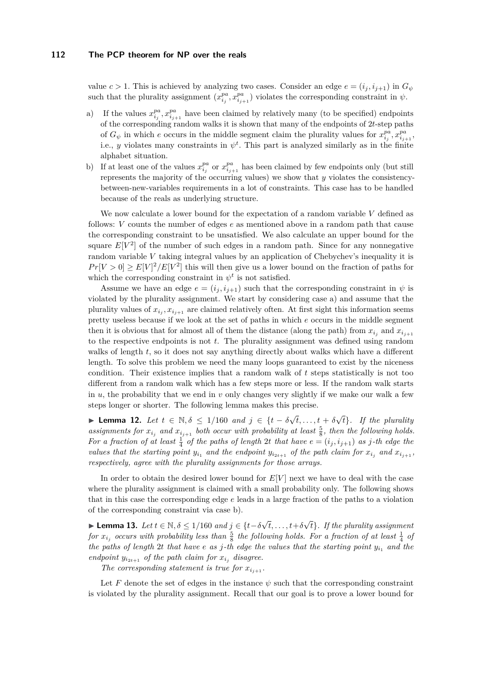value  $c > 1$ . This is achieved by analyzing two cases. Consider an edge  $e = (i_j, i_{j+1})$  in  $G_{\psi}$ such that the plurality assignment  $(x_{i_j}^{pa}, x_{i_{j+1}}^{pa})$  violates the corresponding constraint in  $\psi$ .

- a) If the values  $x_{i_j}^{pa}, x_{i_{j+1}}^{pa}$  have been claimed by relatively many (to be specified) endpoints of the corresponding random walks it is shown that many of the endpoints of 2*t*-step paths of  $G_{\psi}$  in which *e* occurs in the middle segment claim the plurality values for  $x_{i_j}^{pa}, x_{i_{j+1}}^{pa}$ i.e., *y* violates many constraints in  $\psi^t$ . This part is analyzed similarly as in the finite alphabet situation.
- b) If at least one of the values  $x_{i_j}^{pa}$  or  $x_{i_{j+1}}^{pa}$  has been claimed by few endpoints only (but still represents the majority of the occurring values) we show that *y* violates the consistencybetween-new-variables requirements in a lot of constraints. This case has to be handled because of the reals as underlying structure.

We now calculate a lower bound for the expectation of a random variable *V* defined as follows: *V* counts the number of edges *e* as mentioned above in a random path that cause the corresponding constraint to be unsatisfied. We also calculate an upper bound for the square  $E[V^2]$  of the number of such edges in a random path. Since for any nonnegative random variable *V* taking integral values by an application of Chebychev's inequality it is  $Pr[V > 0] \geq E[V]^2/E[V^2]$  this will then give us a lower bound on the fraction of paths for which the corresponding constraint in  $\psi^t$  is not satisfied.

Assume we have an edge  $e = (i_j, i_{j+1})$  such that the corresponding constraint in  $\psi$  is violated by the plurality assignment. We start by considering case a) and assume that the plurality values of  $x_{i_j}, x_{i_{j+1}}$  are claimed relatively often. At first sight this information seems pretty useless because if we look at the set of paths in which *e* occurs in the middle segment then it is obvious that for almost all of them the distance (along the path) from  $x_{i_j}$  and  $x_{i_{j+1}}$ to the respective endpoints is not *t*. The plurality assignment was defined using random walks of length *t*, so it does not say anything directly about walks which have a different length. To solve this problem we need the many loops guaranteed to exist by the niceness condition. Their existence implies that a random walk of *t* steps statistically is not too different from a random walk which has a few steps more or less. If the random walk starts in  $u$ , the probability that we end in  $v$  only changes very slightly if we make our walk a few steps longer or shorter. The following lemma makes this precise.

I **Lemma 12.** *Let t* ∈ N*, δ* ≤ 1*/*160 *and j* ∈ {*t* − *δ* √  $\overline{t}, \ldots, t + \delta$ √ *t*}*. If the plurality* assignments for  $x_{i_j}$  and  $x_{i_{j+1}}$  both occur with probability at least  $\frac{5}{8}$ , then the following holds. For a fraction of at least  $\frac{1}{4}$  of the paths of length 2*t* that have  $e = (i_j, i_{j+1})$  as j-th edge the *values that the starting point*  $y_{i_1}$  *and the endpoint*  $y_{i_{2t+1}}$  *of the path claim for*  $x_{i_j}$  *and*  $x_{i_{j+1}}$ *, respectively, agree with the plurality assignments for those arrays.*

In order to obtain the desired lower bound for  $E[V]$  next we have to deal with the case where the plurality assignment is claimed with a small probability only. The following shows that in this case the corresponding edge *e* leads in a large fraction of the paths to a violation of the corresponding constraint via case b).

I **Lemma 13.** *Let t* ∈ N*, δ* ≤ 1*/*160 *and j* ∈ {*t*−*δ* √  $t, \ldots, t+\delta$ √ *t*}*. If the plurality assignment for*  $x_{i_j}$  *occurs with probability less than*  $\frac{5}{8}$  *the following holds. For a fraction of at least*  $\frac{1}{4}$  *of the paths of length* 2*t that have e as j*-*th edge the values that the starting point*  $y_{i_1}$  *and the endpoint*  $y_{i_{2t+1}}$  *of the path claim for*  $x_{i_j}$  *disagree.* 

The corresponding statement is true for  $x_{i_{j+1}}$ .

Let *F* denote the set of edges in the instance  $\psi$  such that the corresponding constraint is violated by the plurality assignment. Recall that our goal is to prove a lower bound for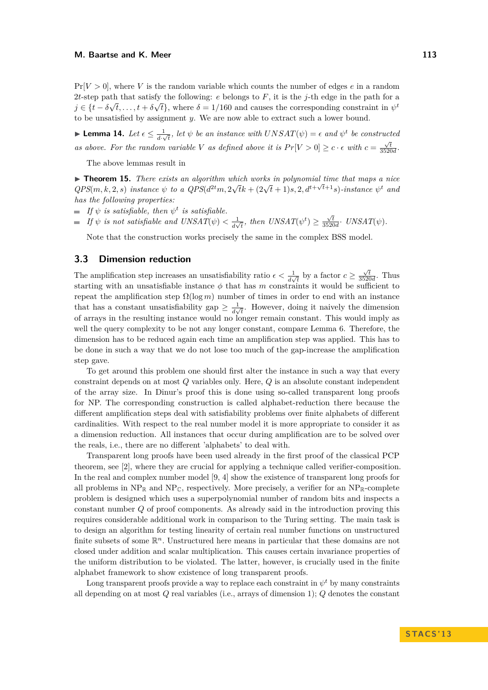$Pr[V > 0]$ , where *V* is the random variable which counts the number of edges *e* in a random 2*t*-step path that satisfy the following: *e* belongs to *F*, it is the *j*-th edge in the path for a  $j \in \{t - \delta\sqrt{t}, \ldots, t + \delta\sqrt{t}\},\$  where  $\delta = 1/160$  and causes the corresponding constraint in  $\psi^t$ to be unsatisfied by assignment *y*. We are now able to extract such a lower bound.

► Lemma 14. Let  $\epsilon \leq \frac{1}{4}$  $\frac{1}{d\cdot\sqrt{t}}$ , let  $\psi$  be an instance with  $UNSAT(\psi) = \epsilon$  and  $\psi^t$  be constructed *as above. For the random variable V as defined above it is*  $Pr[V > 0] \ge c \cdot \epsilon$  with  $c = \frac{\sqrt{t}}{3520d}$ .

The above lemmas result in

 $\blacktriangleright$  **Theorem 15.** *There exists an algorithm which works in polynomial time that maps a nice* **Examplem 13.** There exists an algorithm which works in polynomial time that maps a nice<br> $QPS(m, k, 2, s)$  instance  $\psi$  to a  $QPS(d^{2t}m, 2\sqrt{t}k + (2\sqrt{t} + 1)s, 2, d^{t+\sqrt{t}+1}s)$ -instance  $\psi^t$  and *has the following properties:*

- *If*  $\psi$  *is satisfiable, then*  $\psi^t$  *is satisfiable.*
- *If*  $\psi$  *is not satisfiable and UNSAT* $(\psi) < \frac{1}{4}$  $\frac{1}{d\sqrt{t}}$ , then  $UNSAT(\psi^t) \ge \frac{\sqrt{t}}{3520d}$ .  $UNSAT(\psi)$ .

Note that the construction works precisely the same in the complex BSS model.

## <span id="page-9-0"></span>**3.3 Dimension reduction**

The amplification step increases an unsatisfiability ratio  $\epsilon < \frac{1}{d\sqrt{t}}$  by a factor  $c \geq \frac{\sqrt{t}}{3520d}$ . Thus starting with an unsatisfiable instance  $\phi$  that has *m* constraints it would be sufficient to repeat the amplification step  $\Omega(\log m)$  number of times in order to end with an instance that has a constant unsatisfiability gap  $\geq \frac{1}{4}$  $\frac{1}{d\sqrt{t}}$ . However, doing it naively the dimension of arrays in the resulting instance would no longer remain constant. This would imply as well the query complexity to be not any longer constant, compare Lemma [6.](#page-4-0) Therefore, the dimension has to be reduced again each time an amplification step was applied. This has to be done in such a way that we do not lose too much of the gap-increase the amplification step gave.

To get around this problem one should first alter the instance in such a way that every constraint depends on at most *Q* variables only. Here, *Q* is an absolute constant independent of the array size. In Dinur's proof this is done using so-called transparent long proofs for NP. The corresponding construction is called alphabet-reduction there because the different amplification steps deal with satisfiability problems over finite alphabets of different cardinalities. With respect to the real number model it is more appropriate to consider it as a dimension reduction. All instances that occur during amplification are to be solved over the reals, i.e., there are no different 'alphabets' to deal with.

Transparent long proofs have been used already in the first proof of the classical PCP theorem, see [\[2\]](#page-11-3), where they are crucial for applying a technique called verifier-composition. In the real and complex number model [\[9,](#page-11-5) [4\]](#page-11-7) show the existence of transparent long proofs for all problems in  $NP_{\mathbb{R}}$  and  $NP_{\mathbb{C}}$ , respectively. More precisely, a verifier for an  $NP_{\mathbb{R}}$ -complete problem is designed which uses a superpolynomial number of random bits and inspects a constant number *Q* of proof components. As already said in the introduction proving this requires considerable additional work in comparison to the Turing setting. The main task is to design an algorithm for testing linearity of certain real number functions on unstructured finite subsets of some  $\mathbb{R}^n$ . Unstructured here means in particular that these domains are not closed under addition and scalar multiplication. This causes certain invariance properties of the uniform distribution to be violated. The latter, however, is crucially used in the finite alphabet framework to show existence of long transparent proofs.

Long transparent proofs provide a way to replace each constraint in  $\psi^t$  by many constraints all depending on at most *Q* real variables (i.e., arrays of dimension 1); *Q* denotes the constant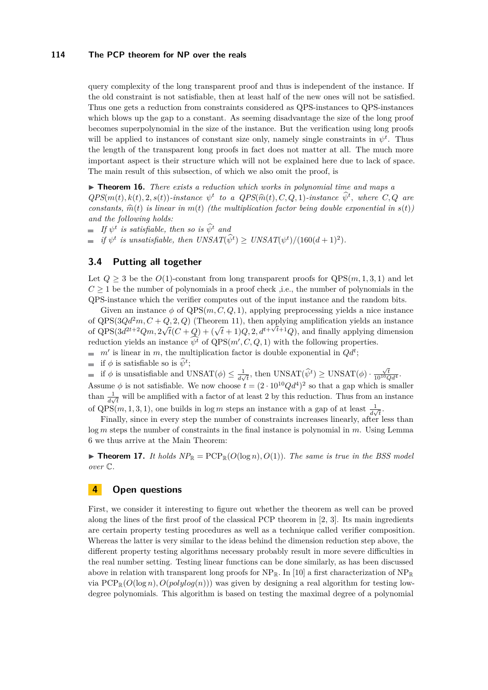query complexity of the long transparent proof and thus is independent of the instance. If the old constraint is not satisfiable, then at least half of the new ones will not be satisfied. Thus one gets a reduction from constraints considered as QPS-instances to QPS-instances which blows up the gap to a constant. As seeming disadvantage the size of the long proof becomes superpolynomial in the size of the instance. But the verification using long proofs will be applied to instances of constant size only, namely single constraints in  $\psi^t$ . Thus the length of the transparent long proofs in fact does not matter at all. The much more important aspect is their structure which will not be explained here due to lack of space. The main result of this subsection, of which we also omit the proof, is

▶ **Theorem 16.** *There exists a reduction which works in polynomial time and maps a*  $QPS(m(t), k(t), 2, s(t))$ -instance  $\psi^t$  to a  $QPS(\hat{m}(t), C, Q, 1)$ -instance  $\hat{\psi}^t$ , where  $C, Q$  are<br>constants  $\hat{\mathcal{R}}(t)$  is linear in  $m(t)$ , (the multiplication factor being deviate generaties) in  $g(t)$ *constants,*  $\hat{m}(t)$  *is linear in*  $m(t)$  *(the multiplication factor being double exponential in*  $s(t)$ *) and the following holds:*

*If*  $\psi^t$  *is satisfiable, then so is*  $\widehat{\psi}^t$  *and* 

*if*  $\psi^t$  *is unsatisfiable, then*  $UNSAT(\hat{\psi}^t) \geq UNSAT(\psi^t) / (160(d+1)^2)$ *.* 

## **3.4 Putting all together**

Let  $Q \geq 3$  be the  $O(1)$ -constant from long transparent proofs for  $QPS(m, 1, 3, 1)$  and let  $C \geq 1$  be the number of polynomials in a proof check ,i.e., the number of polynomials in the QPS-instance which the verifier computes out of the input instance and the random bits.

Given an instance  $\phi$  of  $QPS(m, C, Q, 1)$ , applying preprocessing yields a nice instance of  $QPS(3Qd^2m, C+Q, 2, Q)$  (Theorem [11\)](#page-6-0), then applying amplification yields an instance of QPS( $3d^{2t+2}Qm$ ,  $2\sqrt{t}(C+Q) + (\sqrt{t}+1)Q$ ,  $2$ ,  $d^{t+\sqrt{t}+1}Q$ ), and finally applying dimension reduction yields an instance  $\psi^t$  of  $QPS(m', C, Q, 1)$  with the following properties.

- $m'$  is linear in *m*, the multiplication factor is double exponential in  $Qd^t$ ;
- if  $\phi$  is satisfiable so is  $\widehat{\psi}^t$ ;

if  $\phi$  is unsatisfiable and UNSAT $(\phi) \leq \frac{1}{4}$  $\frac{1}{d\sqrt{t}}$ , then UNSAT $(\hat{\psi}^t) \geq$  UNSAT $(\phi) \cdot \frac{\sqrt{t}}{10^{10}Qd^4}$ .

Assume  $\phi$  is not satisfiable. We now choose  $t = (2 \cdot 10^{10} Q d^4)^2$  so that a gap which is smaller than  $\frac{1}{d\sqrt{t}}$  will be amplified with a factor of at least 2 by this reduction. Thus from an instance of QPS(*m*, 1, 3, 1), one builds in log *m* steps an instance with a gap of at least  $\frac{1}{d\sqrt{t}}$ .

Finally, since in every step the number of constraints increases linearly, after less than log *m* steps the number of constraints in the final instance is polynomial in *m*. Using Lemma [6](#page-4-0) we thus arrive at the Main Theorem:

 $\blacktriangleright$  **Theorem 17.** *It holds*  $NP_{\mathbb{R}} = \text{PCP}_{\mathbb{R}}(O(\log n), O(1))$ *. The same is true in the BSS model over* C*.*

# **4 Open questions**

First, we consider it interesting to figure out whether the theorem as well can be proved along the lines of the first proof of the classical PCP theorem in [\[2,](#page-11-3) [3\]](#page-11-2). Its main ingredients are certain property testing procedures as well as a technique called verifier composition. Whereas the latter is very similar to the ideas behind the dimension reduction step above, the different property testing algorithms necessary probably result in more severe difficulties in the real number setting. Testing linear functions can be done similarly, as has been discussed above in relation with transparent long proofs for  $NP_{\mathbb{R}}$ . In [\[10\]](#page-11-8) a first characterization of  $NP_{\mathbb{R}}$ via  $PCP_{\mathbb{R}}(O(\log n), O(\text{polylog}(n)))$  was given by designing a real algorithm for testing lowdegree polynomials. This algorithm is based on testing the maximal degree of a polynomial